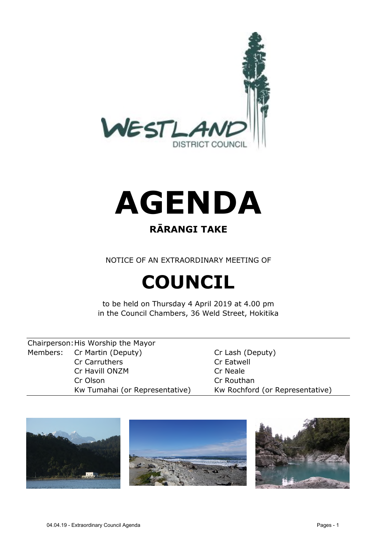



# **RĀRANGI TAKE**

NOTICE OF AN EXTRAORDINARY MEETING OF

# **COUNCIL**

to be held on Thursday 4 April 2019 at 4.00 pm in the Council Chambers, 36 Weld Street, Hokitika

Chairperson:His Worship the Mayor Members: Cr Martin (Deputy) Cr Lash (Deputy) Cr Carruthers Cr Eatwell Cr Havill ONZM Cr Neale Cr Olson Cr Routhan

Kw Tumahai (or Representative) Kw Rochford (or Representative)

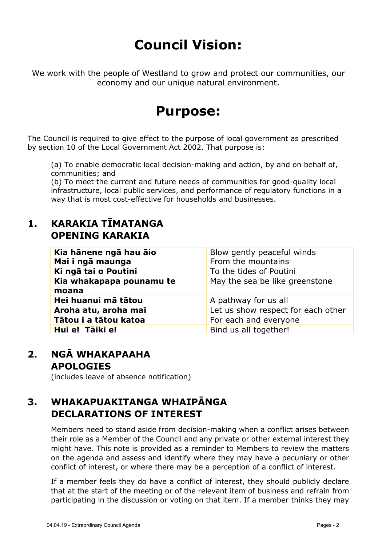# **Council Vision:**

We work with the people of Westland to grow and protect our communities, our economy and our unique natural environment.

# **Purpose:**

The Council is required to give effect to the purpose of local government as prescribed by section 10 of the Local Government Act 2002. That purpose is:

(a) To enable democratic local decision-making and action, by and on behalf of, communities; and

(b) To meet the current and future needs of communities for good-quality local infrastructure, local public services, and performance of regulatory functions in a way that is most cost-effective for households and businesses.

# **1. KARAKIA TĪMATANGA OPENING KARAKIA**

| Kia hānene ngā hau āio<br>Mai i ngā maunga | Blow gently peaceful winds<br>From the mountains |
|--------------------------------------------|--------------------------------------------------|
| Ki ngā tai o Poutini                       | To the tides of Poutini                          |
| Kia whakapapa pounamu te<br>moana          | May the sea be like greenstone                   |
| Hei huanui mā tātou                        | A pathway for us all                             |
| Aroha atu, aroha mai                       | Let us show respect for each other               |
| Tātou i a tātou katoa                      | For each and everyone                            |
| Hui e! Tāiki e!                            | Bind us all together!                            |

# **2. NGĀ WHAKAPAAHA APOLOGIES**

(includes leave of absence notification)

# **3. WHAKAPUAKITANGA WHAIPĀNGA DECLARATIONS OF INTEREST**

Members need to stand aside from decision-making when a conflict arises between their role as a Member of the Council and any private or other external interest they might have. This note is provided as a reminder to Members to review the matters on the agenda and assess and identify where they may have a pecuniary or other conflict of interest, or where there may be a perception of a conflict of interest.

If a member feels they do have a conflict of interest, they should publicly declare that at the start of the meeting or of the relevant item of business and refrain from participating in the discussion or voting on that item. If a member thinks they may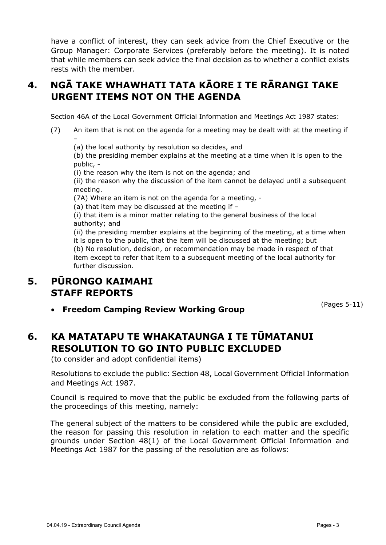have a conflict of interest, they can seek advice from the Chief Executive or the Group Manager: Corporate Services (preferably before the meeting). It is noted that while members can seek advice the final decision as to whether a conflict exists rests with the member.

# **4. NGĀ TAKE WHAWHATI TATA KĀORE I TE RĀRANGI TAKE URGENT ITEMS NOT ON THE AGENDA**

Section 46A of the Local Government Official Information and Meetings Act 1987 states:

- (7) An item that is not on the agenda for a meeting may be dealt with at the meeting if –
	- (a) the local authority by resolution so decides, and

(b) the presiding member explains at the meeting at a time when it is open to the public, -

(i) the reason why the item is not on the agenda; and

(ii) the reason why the discussion of the item cannot be delayed until a subsequent meeting.

(7A) Where an item is not on the agenda for a meeting, -

(a) that item may be discussed at the meeting if –

(i) that item is a minor matter relating to the general business of the local authority; and

(ii) the presiding member explains at the beginning of the meeting, at a time when it is open to the public, that the item will be discussed at the meeting; but (b) No resolution, decision, or recommendation may be made in respect of that item except to refer that item to a subsequent meeting of the local authority for further discussion.

# **5. PŪRONGO KAIMAHI STAFF REPORTS**

**Freedom Camping Review Working Group**

(Pages 5-11)

# **6. KA MATATAPU TE WHAKATAUNGA I TE TŪMATANUI RESOLUTION TO GO INTO PUBLIC EXCLUDED**

(to consider and adopt confidential items)

Resolutions to exclude the public: Section 48, Local Government Official Information and Meetings Act 1987.

Council is required to move that the public be excluded from the following parts of the proceedings of this meeting, namely:

The general subject of the matters to be considered while the public are excluded, the reason for passing this resolution in relation to each matter and the specific grounds under Section 48(1) of the Local Government Official Information and Meetings Act 1987 for the passing of the resolution are as follows: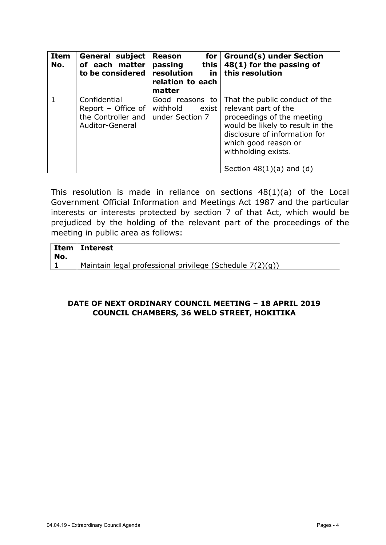| Item<br>No. | <b>General subject</b><br>of each matter<br>to be considered                | <b>Reason</b><br>for<br>passing<br>this<br>resolution<br>in<br>relation to each<br>matter | <b>Ground(s) under Section</b><br>48(1) for the passing of<br>this resolution                                                                                                                                                            |
|-------------|-----------------------------------------------------------------------------|-------------------------------------------------------------------------------------------|------------------------------------------------------------------------------------------------------------------------------------------------------------------------------------------------------------------------------------------|
|             | Confidential<br>Report - Office of<br>the Controller and<br>Auditor-General | Good reasons to<br>withhold<br>exist<br>under Section 7                                   | That the public conduct of the<br>relevant part of the<br>proceedings of the meeting<br>would be likely to result in the<br>disclosure of information for<br>which good reason or<br>withholding exists.<br>Section $48(1)(a)$ and $(d)$ |

This resolution is made in reliance on sections  $48(1)(a)$  of the Local Government Official Information and Meetings Act 1987 and the particular interests or interests protected by section 7 of that Act, which would be prejudiced by the holding of the relevant part of the proceedings of the meeting in public area as follows:

| No. | ∣ Item   Interest                                        |
|-----|----------------------------------------------------------|
|     | Maintain legal professional privilege (Schedule 7(2)(g)) |

#### **DATE OF NEXT ORDINARY COUNCIL MEETING – 18 APRIL 2019 COUNCIL CHAMBERS, 36 WELD STREET, HOKITIKA**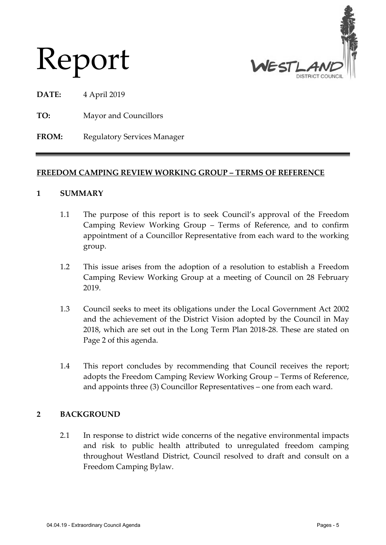

# Report

**DATE:** 4 April 2019

**TO:** Mayor and Councillors

FROM: Regulatory Services Manager

## **FREEDOM CAMPING REVIEW WORKING GROUP – TERMS OF REFERENCE**

#### **1 SUMMARY**

- 1.1 The purpose of this report is to seek Council's approval of the Freedom Camping Review Working Group – Terms of Reference, and to confirm appointment of a Councillor Representative from each ward to the working group.
- 1.2 This issue arises from the adoption of a resolution to establish a Freedom Camping Review Working Group at a meeting of Council on 28 February 2019.
- 1.3 Council seeks to meet its obligations under the Local Government Act 2002 and the achievement of the District Vision adopted by the Council in May 2018, which are set out in the Long Term Plan 2018-28. These are stated on Page 2 of this agenda.
- 1.4 This report concludes by recommending that Council receives the report; adopts the Freedom Camping Review Working Group – Terms of Reference, and appoints three (3) Councillor Representatives – one from each ward.

## **2 BACKGROUND**

2.1 In response to district wide concerns of the negative environmental impacts and risk to public health attributed to unregulated freedom camping throughout Westland District, Council resolved to draft and consult on a Freedom Camping Bylaw.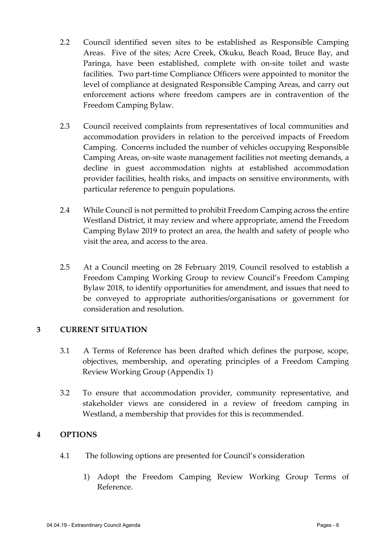- 2.2 Council identified seven sites to be established as Responsible Camping Areas. Five of the sites; Acre Creek, Okuku, Beach Road, Bruce Bay, and Paringa, have been established, complete with on-site toilet and waste facilities. Two part-time Compliance Officers were appointed to monitor the level of compliance at designated Responsible Camping Areas, and carry out enforcement actions where freedom campers are in contravention of the Freedom Camping Bylaw.
- 2.3 Council received complaints from representatives of local communities and accommodation providers in relation to the perceived impacts of Freedom Camping. Concerns included the number of vehicles occupying Responsible Camping Areas, on-site waste management facilities not meeting demands, a decline in guest accommodation nights at established accommodation provider facilities, health risks, and impacts on sensitive environments, with particular reference to penguin populations.
- 2.4 While Council is not permitted to prohibit Freedom Camping across the entire Westland District, it may review and where appropriate, amend the Freedom Camping Bylaw 2019 to protect an area, the health and safety of people who visit the area, and access to the area.
- 2.5 At a Council meeting on 28 February 2019, Council resolved to establish a Freedom Camping Working Group to review Council's Freedom Camping Bylaw 2018, to identify opportunities for amendment, and issues that need to be conveyed to appropriate authorities/organisations or government for consideration and resolution.

#### **3 CURRENT SITUATION**

- 3.1 A Terms of Reference has been drafted which defines the purpose, scope, objectives, membership, and operating principles of a Freedom Camping Review Working Group (Appendix 1)
- 3.2 To ensure that accommodation provider, community representative, and stakeholder views are considered in a review of freedom camping in Westland, a membership that provides for this is recommended.

## **4 OPTIONS**

- 4.1 The following options are presented for Council's consideration
	- 1) Adopt the Freedom Camping Review Working Group Terms of Reference.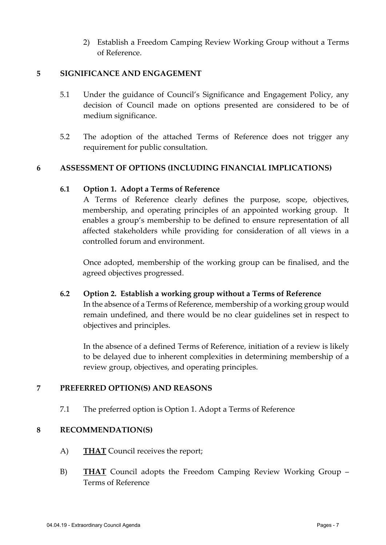2) Establish a Freedom Camping Review Working Group without a Terms of Reference.

#### **5 SIGNIFICANCE AND ENGAGEMENT**

- 5.1 Under the guidance of Council's Significance and Engagement Policy, any decision of Council made on options presented are considered to be of medium significance.
- 5.2 The adoption of the attached Terms of Reference does not trigger any requirement for public consultation.

#### **6 ASSESSMENT OF OPTIONS (INCLUDING FINANCIAL IMPLICATIONS)**

#### **6.1 Option 1. Adopt a Terms of Reference**

A Terms of Reference clearly defines the purpose, scope, objectives, membership, and operating principles of an appointed working group. It enables a group's membership to be defined to ensure representation of all affected stakeholders while providing for consideration of all views in a controlled forum and environment.

Once adopted, membership of the working group can be finalised, and the agreed objectives progressed.

**6.2 Option 2. Establish a working group without a Terms of Reference**

In the absence of a Terms of Reference, membership of a working group would remain undefined, and there would be no clear guidelines set in respect to objectives and principles.

In the absence of a defined Terms of Reference, initiation of a review is likely to be delayed due to inherent complexities in determining membership of a review group, objectives, and operating principles.

## **7 PREFERRED OPTION(S) AND REASONS**

7.1 The preferred option is Option 1. Adopt a Terms of Reference

#### **8 RECOMMENDATION(S)**

- A) **THAT** Council receives the report;
- B) **THAT** Council adopts the Freedom Camping Review Working Group Terms of Reference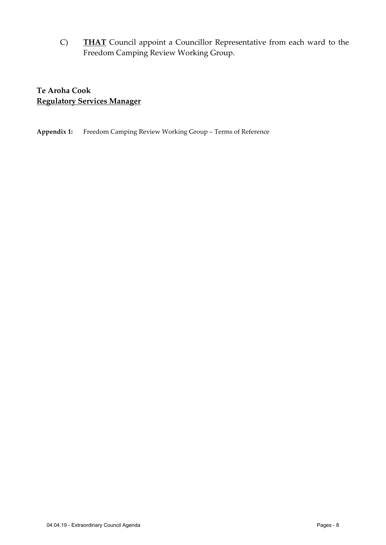C) **THAT** Council appoint a Councillor Representative from each ward to the Freedom Camping Review Working Group.

**Te Aroha Cook Regulatory Services Manager**

**Appendix 1:** Freedom Camping Review Working Group – Terms of Reference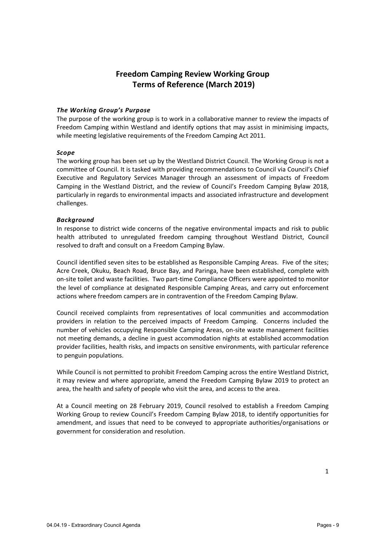## **Freedom Camping Review Working Group Terms of Reference (March 2019)**

#### *The Working Group's Purpose*

The purpose of the working group is to work in a collaborative manner to review the impacts of Freedom Camping within Westland and identify options that may assist in minimising impacts, while meeting legislative requirements of the Freedom Camping Act 2011.

#### *Scope*

The working group has been set up by the Westland District Council. The Working Group is not a committee of Council. It is tasked with providing recommendations to Council via Council's Chief Executive and Regulatory Services Manager through an assessment of impacts of Freedom Camping in the Westland District, and the review of Council's Freedom Camping Bylaw 2018, particularly in regards to environmental impacts and associated infrastructure and development challenges.

#### *Background*

In response to district wide concerns of the negative environmental impacts and risk to public health attributed to unregulated freedom camping throughout Westland District, Council resolved to draft and consult on a Freedom Camping Bylaw.

Council identified seven sites to be established as Responsible Camping Areas. Five of the sites; Acre Creek, Okuku, Beach Road, Bruce Bay, and Paringa, have been established, complete with on-site toilet and waste facilities. Two part-time Compliance Officers were appointed to monitor the level of compliance at designated Responsible Camping Areas, and carry out enforcement actions where freedom campers are in contravention of the Freedom Camping Bylaw.

Council received complaints from representatives of local communities and accommodation providers in relation to the perceived impacts of Freedom Camping. Concerns included the number of vehicles occupying Responsible Camping Areas, on-site waste management facilities not meeting demands, a decline in guest accommodation nights at established accommodation provider facilities, health risks, and impacts on sensitive environments, with particular reference to penguin populations.

While Council is not permitted to prohibit Freedom Camping across the entire Westland District, it may review and where appropriate, amend the Freedom Camping Bylaw 2019 to protect an area, the health and safety of people who visit the area, and access to the area.

At a Council meeting on 28 February 2019, Council resolved to establish a Freedom Camping Working Group to review Council's Freedom Camping Bylaw 2018, to identify opportunities for amendment, and issues that need to be conveyed to appropriate authorities/organisations or government for consideration and resolution.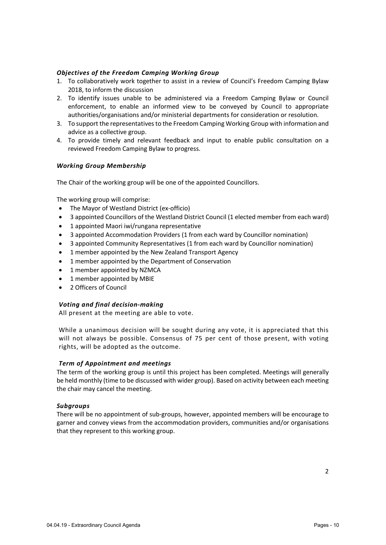#### *Objectives of the Freedom Camping Working Group*

- 1. To collaboratively work together to assist in a review of Council's Freedom Camping Bylaw 2018, to inform the discussion
- 2. To identify issues unable to be administered via a Freedom Camping Bylaw or Council enforcement, to enable an informed view to be conveyed by Council to appropriate authorities/organisations and/or ministerial departments for consideration or resolution.
- 3. To support the representatives to the Freedom Camping Working Group with information and advice as a collective group.
- 4. To provide timely and relevant feedback and input to enable public consultation on a reviewed Freedom Camping Bylaw to progress.

#### *Working Group Membership*

The Chair of the working group will be one of the appointed Councillors.

The working group will comprise:

- The Mayor of Westland District (ex-officio)
- 3 appointed Councillors of the Westland District Council (1 elected member from each ward)
- 1 appointed Maori iwi/rungana representative
- 3 appointed Accommodation Providers (1 from each ward by Councillor nomination)
- 3 appointed Community Representatives (1 from each ward by Councillor nomination)
- 1 member appointed by the New Zealand Transport Agency
- 1 member appointed by the Department of Conservation
- 1 member appointed by NZMCA
- 1 member appointed by MBIE
- 2 Officers of Council

#### *Voting and final decision-making*

All present at the meeting are able to vote.

While a unanimous decision will be sought during any vote, it is appreciated that this will not always be possible. Consensus of 75 per cent of those present, with voting rights, will be adopted as the outcome.

#### *Term of Appointment and meetings*

The term of the working group is until this project has been completed. Meetings will generally be held monthly (time to be discussed with wider group). Based on activity between each meeting the chair may cancel the meeting.

#### *Subgroups*

There will be no appointment of sub-groups, however, appointed members will be encourage to garner and convey views from the accommodation providers, communities and/or organisations that they represent to this working group.